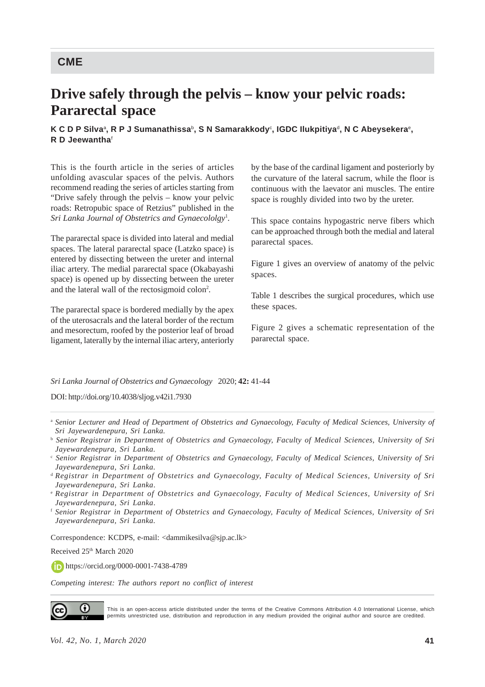## **Drive safely through the pelvis – know your pelvic roads: Pararectal space**

## $\boldsymbol{\mathsf{K}}$  C D P Silvaª, R P J Sumanathissaʰ, S N Samarakkody°, IGDC Ilukpitiyaª, N C Abeysekera°, **R D Jeewantha**<sup>f</sup>

This is the fourth article in the series of articles unfolding avascular spaces of the pelvis. Authors recommend reading the series of articles starting from "Drive safely through the pelvis – know your pelvic roads: Retropubic space of Retzius" published in the *Sri Lanka Journal of Obstetrics and Gynaecololgy*<sup>1</sup> .

The pararectal space is divided into lateral and medial spaces. The lateral pararectal space (Latzko space) is entered by dissecting between the ureter and internal iliac artery. The medial pararectal space (Okabayashi space) is opened up by dissecting between the ureter and the lateral wall of the rectosigmoid colon<sup>2</sup>.

The pararectal space is bordered medially by the apex of the uterosacrals and the lateral border of the rectum and mesorectum, roofed by the posterior leaf of broad ligament, laterally by the internal iliac artery, anteriorly

by the base of the cardinal ligament and posteriorly by the curvature of the lateral sacrum, while the floor is continuous with the laevator ani muscles. The entire space is roughly divided into two by the ureter.

This space contains hypogastric nerve fibers which can be approached through both the medial and lateral pararectal spaces.

Figure 1 gives an overview of anatomy of the pelvic spaces.

Table 1 describes the surgical procedures, which use these spaces.

Figure 2 gives a schematic representation of the pararectal space.

## *Sri Lanka Journal of Obstetrics and Gynaecology* 2020; **42:** 41-44

DOI: http://doi.org/10.4038/sljog.v42i1.7930

Correspondence: KCDPS, e-mail: <dammikesilva@sjp.ac.lk>

Received 25<sup>th</sup> March 2020

https://orcid.org/0000-0001-7438-4789

*Competing interest: The authors report no conflict of interest*



This is an open-access article distributed under the terms of the Creative Commons Attribution 4.0 International License, which permits unrestricted use, distribution and reproduction in any medium provided the original author and source are credited.

<sup>a</sup> *Senior Lecturer and Head of Department of Obstetrics and Gynaecology, Faculty of Medical Sciences, University of Sri Jayewardenepura, Sri Lanka.*

b  *Senior Registrar in Department of Obstetrics and Gynaecology, Faculty of Medical Sciences, University of Sri Jayewardenepura, Sri Lanka.*

c  *Senior Registrar in Department of Obstetrics and Gynaecology, Faculty of Medical Sciences, University of Sri Jayewardenepura, Sri Lanka.*

<sup>d</sup> *Registrar in Department of Obstetrics and Gynaecology, Faculty of Medical Sciences, University of Sri Jayewardenepura, Sri Lanka.*

<sup>e</sup> *Registrar in Department of Obstetrics and Gynaecology, Faculty of Medical Sciences, University of Sri Jayewardenepura, Sri Lanka.*

<sup>f</sup> *Senior Registrar in Department of Obstetrics and Gynaecology, Faculty of Medical Sciences, University of Sri Jayewardenepura, Sri Lanka.*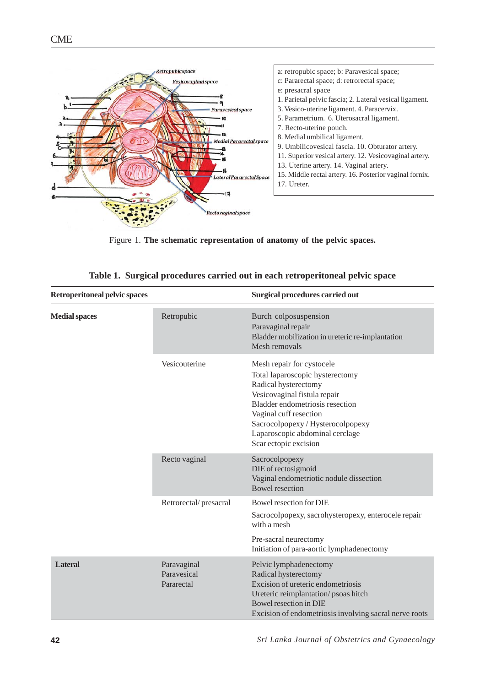

Figure 1. **The schematic representation of anatomy of the pelvic spaces.**

| <b>Retroperitoneal pelvic spaces</b> |                                          | Surgical procedures carried out                                                                                                                                                                                                                                                    |  |  |  |  |
|--------------------------------------|------------------------------------------|------------------------------------------------------------------------------------------------------------------------------------------------------------------------------------------------------------------------------------------------------------------------------------|--|--|--|--|
| <b>Medial spaces</b>                 | Retropubic                               | Burch colposuspension<br>Paravaginal repair<br>Bladder mobilization in ureteric re-implantation<br>Mesh removals                                                                                                                                                                   |  |  |  |  |
|                                      | Vesicouterine                            | Mesh repair for cystocele<br>Total laparoscopic hysterectomy<br>Radical hysterectomy<br>Vesicovaginal fistula repair<br>Bladder endometriosis resection<br>Vaginal cuff resection<br>Sacrocolpopexy / Hysterocolpopexy<br>Laparoscopic abdominal cerclage<br>Scar ectopic excision |  |  |  |  |
|                                      | Recto vaginal                            | Sacrocolpopexy<br>DIE of rectosigmoid<br>Vaginal endometriotic nodule dissection<br><b>Bowel resection</b>                                                                                                                                                                         |  |  |  |  |
|                                      | Retrorectal/presacral                    | Bowel resection for DIE<br>Sacrocolpopexy, sacrohysteropexy, enterocele repair<br>with a mesh<br>Pre-sacral neurectomy<br>Initiation of para-aortic lymphadenectomy                                                                                                                |  |  |  |  |
| <b>Lateral</b>                       | Paravaginal<br>Paravesical<br>Pararectal | Pelvic lymphadenectomy<br>Radical hysterectomy<br>Excision of ureteric endometriosis<br>Ureteric reimplantation/psoas hitch<br>Bowel resection in DIE<br>Excision of endometriosis involving sacral nerve roots                                                                    |  |  |  |  |

|  | Table 1. Surgical procedures carried out in each retroperitoneal pelvic space |  |  |  |  |
|--|-------------------------------------------------------------------------------|--|--|--|--|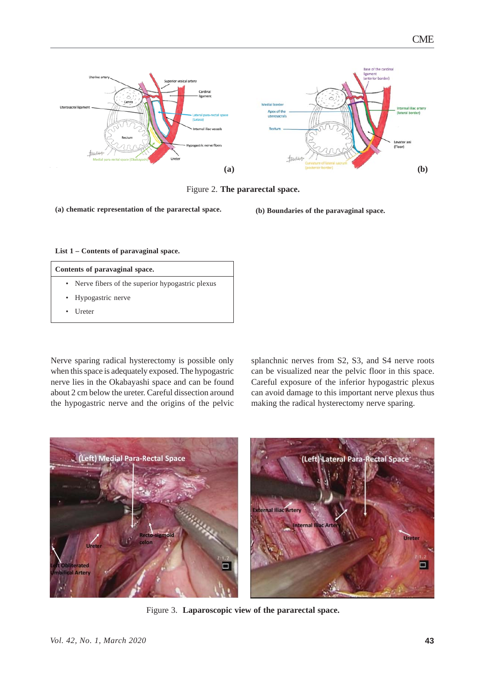

Figure 2. **The pararectal space.**

**(a) chematic representation of the pararectal space. (b) Boundaries of the paravaginal space.**

**List 1 – Contents of paravaginal space.**

| Contents of paravaginal space. |                                                   |  |
|--------------------------------|---------------------------------------------------|--|
|                                | • Nerve fibers of the superior hypogastric plexus |  |
|                                | • Hypogastric nerve                               |  |

• Ureter

Nerve sparing radical hysterectomy is possible only when this space is adequately exposed. The hypogastric nerve lies in the Okabayashi space and can be found about 2 cm below the ureter. Careful dissection around the hypogastric nerve and the origins of the pelvic splanchnic nerves from S2, S3, and S4 nerve roots can be visualized near the pelvic floor in this space. Careful exposure of the inferior hypogastric plexus can avoid damage to this important nerve plexus thus making the radical hysterectomy nerve sparing.



Figure 3. **Laparoscopic view of the pararectal space.**